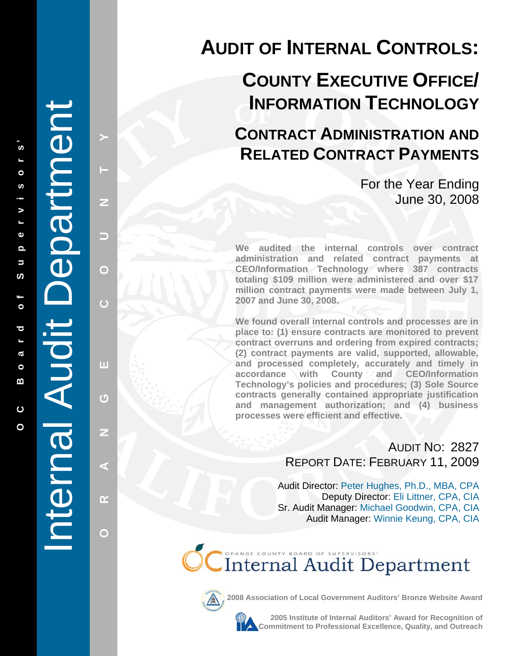# Internal Audit Department Jepartment Internal Audit I

**PHANGE COUNTY CO** 

π

 $\mathbf C$ 

Z

⋖

 $\alpha$ 

O

 $\overline{C}$ 

z

▄

O

# **AUDIT OF INTERNAL CONTROLS:**

# **COUNTY EXECUTIVE OFFICE/ INFORMATION TECHNOLOGY**

## **CONTRACT ADMINISTRATION AND RELATED CONTRACT PAYMENTS**

For the Year Ending June 30, 2008

**We audited the internal controls over contract administration and related contract payments at CEO/Information Technology where 387 contracts totaling \$109 million were administered and over \$17 million contract payments were made between July 1, 2007 and June 30, 2008.** 

**We found overall internal controls and processes are in place to: (1) ensure contracts are monitored to prevent contract overruns and ordering from expired contracts; (2) contract payments are valid, supported, allowable, and processed completely, accurately and timely in accordance with County and CEO/Information Technology's policies and procedures; (3) Sole Source contracts generally contained appropriate justification and management authorization; and (4) business processes were efficient and effective.** 

> AUDIT NO: 2827 REPORT DATE : FEBRUARY 11, 2009

Audit Director: Peter Hughes, Ph.D., MBA, CPA Deputy Director: Eli Littner, CPA, CIA Sr. Audit Manager: Michael Goodwin, CPA, CIA Audit Manager: Winnie Keung, CPA, CIA

**CC** Internal Audit Department



**2008 Association of Local Government Auditors' Bronze Website Award**



**2005 Institute of Internal Auditors' Award for Recognition of Commitment to Professional Excellence, Quality, and Outreach**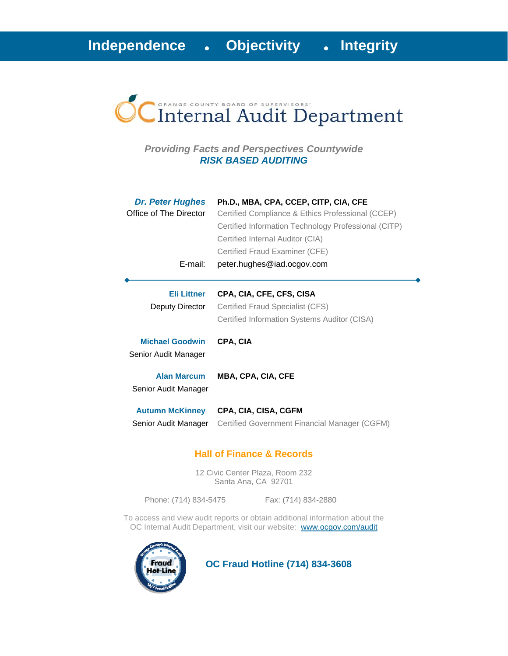

#### *Providing Facts and Perspectives Countywide RISK BASED AUDITING*

| <b>Dr. Peter Hughes</b><br>Office of The Director<br>E-mail: | Ph.D., MBA, CPA, CCEP, CITP, CIA, CFE<br>Certified Compliance & Ethics Professional (CCEP)<br>Certified Information Technology Professional (CITP)<br>Certified Internal Auditor (CIA)<br>Certified Fraud Examiner (CFE)<br>peter.hughes@iad.ocgov.com |
|--------------------------------------------------------------|--------------------------------------------------------------------------------------------------------------------------------------------------------------------------------------------------------------------------------------------------------|
| Eli Littner<br>Deputy Director                               | CPA, CIA, CFE, CFS, CISA<br>Certified Fraud Specialist (CFS)<br>Certified Information Systems Auditor (CISA)                                                                                                                                           |
| <b>Michael Goodwin</b><br>Senior Audit Manager               | CPA, CIA                                                                                                                                                                                                                                               |
| <b>Alan Marcum</b><br>Senior Audit Manager                   | MBA, CPA, CIA, CFE                                                                                                                                                                                                                                     |
| <b>Autumn McKinney</b><br>Senior Audit Manager               | CPA, CIA, CISA, CGFM<br>Certified Government Financial Manager (CGFM)                                                                                                                                                                                  |

#### **Hall of Finance & Records**

12 Civic Center Plaza, Room 232 Santa Ana, CA 92701

Phone: (714) 834-5475 Fax: (714) 834-2880

To access and view audit reports or obtain additional information about the OC Internal Audit Department, visit our website: www.ocgov.com/audit



 **OC Fraud Hotline (714) 834-3608**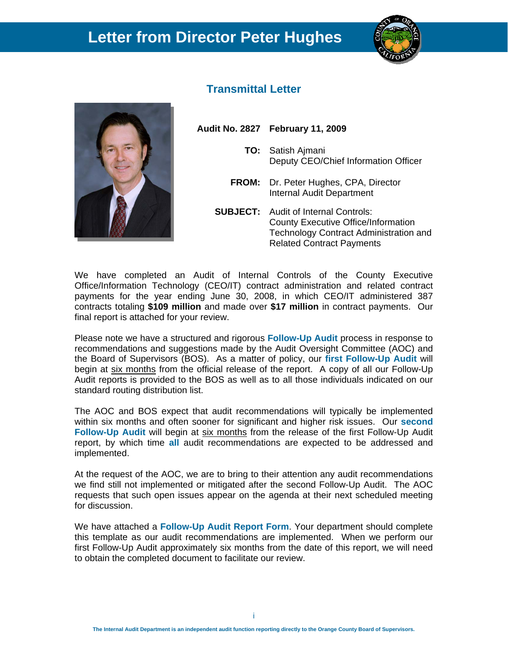## **Letter from Director Peter Hughes**





#### **Transmittal Letter**

**Audit No. 2827 February 11, 2009** 

- **TO:** Satish Ajmani Deputy CEO/Chief Information Officer
- **FROM:** Dr. Peter Hughes, CPA, Director Internal Audit Department
- **SUBJECT:** Audit of Internal Controls: County Executive Office/Information Technology Contract Administration and Related Contract Payments

We have completed an Audit of Internal Controls of the County Executive Office/Information Technology (CEO/IT) contract administration and related contract payments for the year ending June 30, 2008, in which CEO/IT administered 387 contracts totaling **\$109 million** and made over **\$17 million** in contract payments. Our final report is attached for your review.

Please note we have a structured and rigorous **Follow-Up Audit** process in response to recommendations and suggestions made by the Audit Oversight Committee (AOC) and the Board of Supervisors (BOS). As a matter of policy, our **first Follow-Up Audit** will begin at six months from the official release of the report. A copy of all our Follow-Up Audit reports is provided to the BOS as well as to all those individuals indicated on our standard routing distribution list.

The AOC and BOS expect that audit recommendations will typically be implemented within six months and often sooner for significant and higher risk issues. Our **second Follow-Up Audit** will begin at six months from the release of the first Follow-Up Audit report, by which time **all** audit recommendations are expected to be addressed and implemented.

At the request of the AOC, we are to bring to their attention any audit recommendations we find still not implemented or mitigated after the second Follow-Up Audit. The AOC requests that such open issues appear on the agenda at their next scheduled meeting for discussion.

We have attached a **Follow-Up Audit Report Form**. Your department should complete this template as our audit recommendations are implemented. When we perform our first Follow-Up Audit approximately six months from the date of this report, we will need to obtain the completed document to facilitate our review.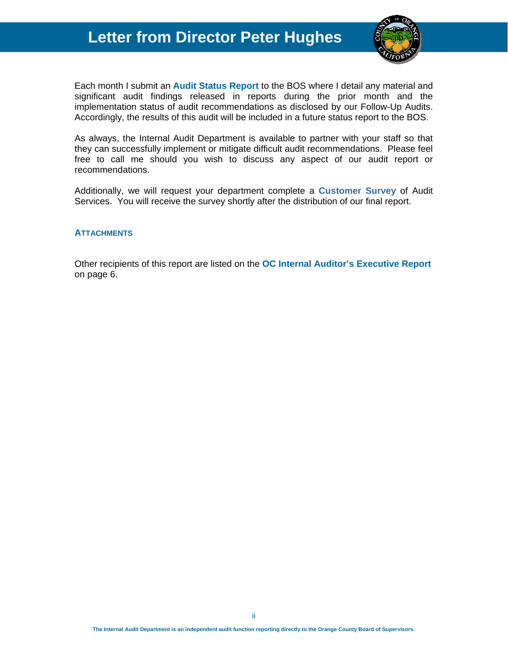### **Letter from Director Peter Hughes**



Each month I submit an **Audit Status Report** to the BOS where I detail any material and significant audit findings released in reports during the prior month and the implementation status of audit recommendations as disclosed by our Follow-Up Audits. Accordingly, the results of this audit will be included in a future status report to the BOS.

As always, the Internal Audit Department is available to partner with your staff so that they can successfully implement or mitigate difficult audit recommendations. Please feel free to call me should you wish to discuss any aspect of our audit report or recommendations.

Additionally, we will request your department complete a **Customer Survey** of Audit Services. You will receive the survey shortly after the distribution of our final report.

#### **ATTACHMENTS**

Other recipients of this report are listed on the **OC Internal Auditor's Executive Report** on page 6.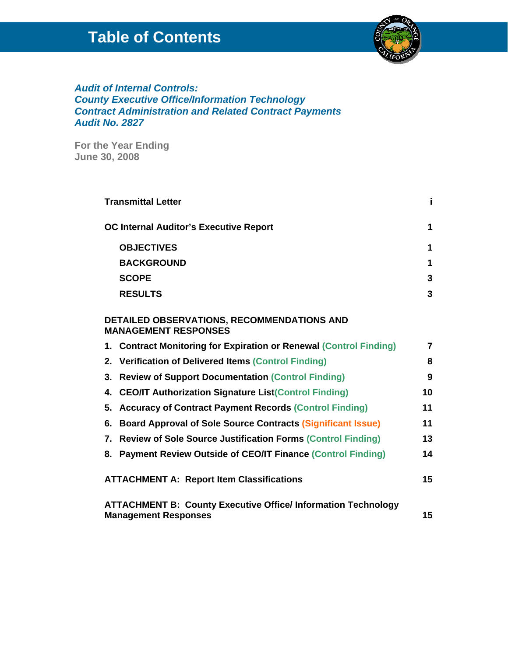## **Table of Contents**



#### *Audit of Internal Controls: County Executive Office/Information Technology Contract Administration and Related Contract Payments Audit No. 2827*

**For the Year Ending June 30, 2008**

| <b>Transmittal Letter</b>                                                                          | i. |  |
|----------------------------------------------------------------------------------------------------|----|--|
| <b>OC Internal Auditor's Executive Report</b>                                                      | 1  |  |
| <b>OBJECTIVES</b>                                                                                  | 1  |  |
| <b>BACKGROUND</b>                                                                                  | 1  |  |
| <b>SCOPE</b>                                                                                       | 3  |  |
| <b>RESULTS</b>                                                                                     | 3  |  |
| DETAILED OBSERVATIONS, RECOMMENDATIONS AND<br><b>MANAGEMENT RESPONSES</b>                          |    |  |
| 1. Contract Monitoring for Expiration or Renewal (Control Finding)                                 | 7  |  |
| 2. Verification of Delivered Items (Control Finding)                                               | 8  |  |
| <b>Review of Support Documentation (Control Finding)</b><br>3.                                     | 9  |  |
| 4. CEO/IT Authorization Signature List(Control Finding)                                            | 10 |  |
| <b>Accuracy of Contract Payment Records (Control Finding)</b><br>5.                                | 11 |  |
| 6. Board Approval of Sole Source Contracts (Significant Issue)                                     | 11 |  |
| 7. Review of Sole Source Justification Forms (Control Finding)                                     | 13 |  |
| 8. Payment Review Outside of CEO/IT Finance (Control Finding)                                      | 14 |  |
| <b>ATTACHMENT A: Report Item Classifications</b>                                                   |    |  |
| <b>ATTACHMENT B: County Executive Office/Information Technology</b><br><b>Management Responses</b> | 15 |  |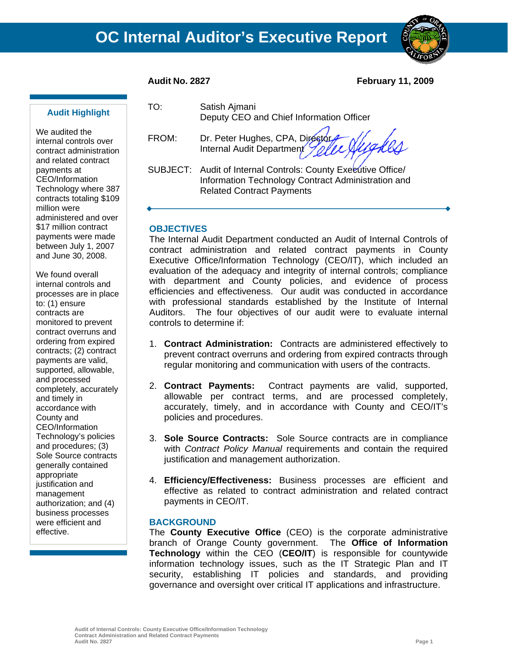

**Audit No. 2827 February 11, 2009** 

#### **Audit Highlight**

We audited the internal controls over contract administration and related contract payments at CEO/Information Technology where 387 contracts totaling \$109 million were administered and over \$17 million contract payments were made between July 1, 2007 and June 30, 2008.

We found overall internal controls and processes are in place to: (1) ensure contracts are monitored to prevent contract overruns and ordering from expired contracts; (2) contract payments are valid, supported, allowable, and processed completely, accurately and timely in accordance with County and CEO/Information Technology's policies and procedures; (3) Sole Source contracts generally contained appropriate justification and management authorization; and (4) business processes were efficient and effective.

TO: Satish Ajmani Deputy CEO and Chief Information Officer

FROM: Dr. Peter Hughes, CPA, Director Internal Audit Department

SUBJECT: Audit of Internal Controls: County Executive Office Information Technology Contract Administration and Related Contract Payments

#### **OBJECTIVES**

The Internal Audit Department conducted an Audit of Internal Controls of contract administration and related contract payments in County Executive Office/Information Technology (CEO/IT), which included an evaluation of the adequacy and integrity of internal controls; compliance with department and County policies, and evidence of process efficiencies and effectiveness. Our audit was conducted in accordance with professional standards established by the Institute of Internal Auditors. The four objectives of our audit were to evaluate internal controls to determine if:

- 1. **Contract Administration:** Contracts are administered effectively to prevent contract overruns and ordering from expired contracts through regular monitoring and communication with users of the contracts.
- 2. **Contract Payments:** Contract payments are valid, supported, allowable per contract terms, and are processed completely, accurately, timely, and in accordance with County and CEO/IT's policies and procedures.
- 3. **Sole Source Contracts:** Sole Source contracts are in compliance with *Contract Policy Manual* requirements and contain the required justification and management authorization.
- 4. **Efficiency/Effectiveness:** Business processes are efficient and effective as related to contract administration and related contract payments in CEO/IT.

#### **BACKGROUND**

The **County Executive Office** (CEO) is the corporate administrative branch of Orange County government. The **Office of Information Technology** within the CEO (**CEO/IT**) is responsible for countywide information technology issues, such as the IT Strategic Plan and IT security, establishing IT policies and standards, and providing governance and oversight over critical IT applications and infrastructure.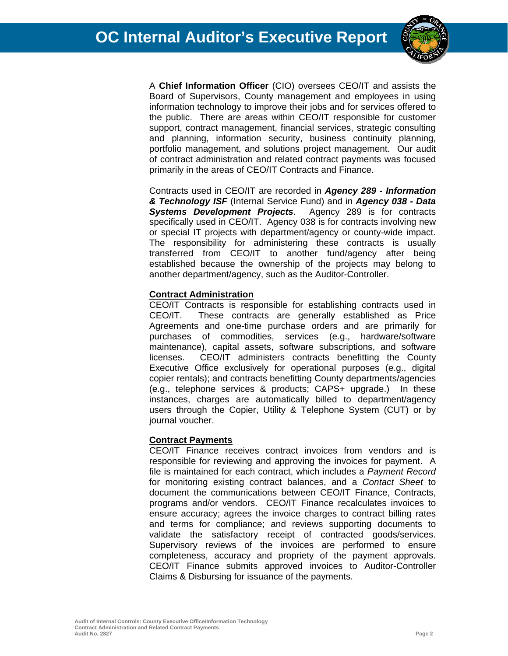

A **Chief Information Officer** (CIO) oversees CEO/IT and assists the Board of Supervisors, County management and employees in using information technology to improve their jobs and for services offered to the public. There are areas within CEO/IT responsible for customer support, contract management, financial services, strategic consulting and planning, information security, business continuity planning, portfolio management, and solutions project management. Our audit of contract administration and related contract payments was focused primarily in the areas of CEO/IT Contracts and Finance.

Contracts used in CEO/IT are recorded in *Agency 289 - Information & Technology ISF* (Internal Service Fund) and in *Agency 038 - Data Systems Development Projects*. Agency 289 is for contracts specifically used in CEO/IT. Agency 038 is for contracts involving new or special IT projects with department/agency or county-wide impact. The responsibility for administering these contracts is usually transferred from CEO/IT to another fund/agency after being established because the ownership of the projects may belong to another department/agency, such as the Auditor-Controller.

#### **Contract Administration**

CEO/IT Contracts is responsible for establishing contracts used in CEO/IT. These contracts are generally established as Price Agreements and one-time purchase orders and are primarily for purchases of commodities, services (e.g., hardware/software maintenance), capital assets, software subscriptions, and software licenses. CEO/IT administers contracts benefitting the County Executive Office exclusively for operational purposes (e.g., digital copier rentals); and contracts benefitting County departments/agencies (e.g., telephone services & products; CAPS+ upgrade.) In these instances, charges are automatically billed to department/agency users through the Copier, Utility & Telephone System (CUT) or by journal voucher.

#### **Contract Payments**

CEO/IT Finance receives contract invoices from vendors and is responsible for reviewing and approving the invoices for payment. A file is maintained for each contract, which includes a *Payment Record*  for monitoring existing contract balances, and a *Contact Sheet* to document the communications between CEO/IT Finance, Contracts, programs and/or vendors. CEO/IT Finance recalculates invoices to ensure accuracy; agrees the invoice charges to contract billing rates and terms for compliance; and reviews supporting documents to validate the satisfactory receipt of contracted goods/services. Supervisory reviews of the invoices are performed to ensure completeness, accuracy and propriety of the payment approvals. CEO/IT Finance submits approved invoices to Auditor-Controller Claims & Disbursing for issuance of the payments.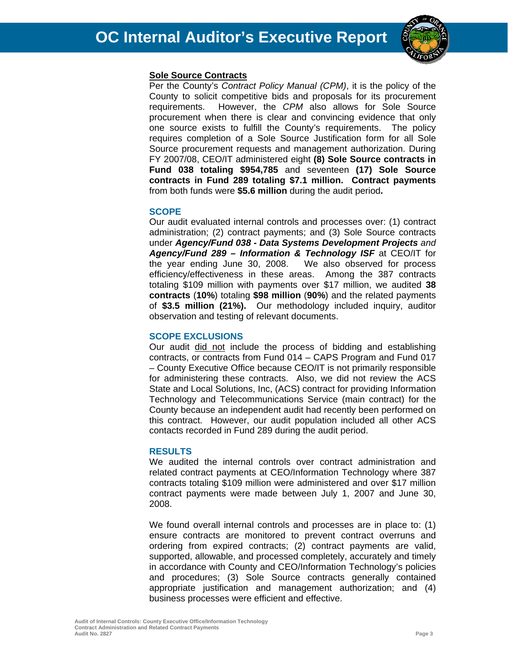

#### **Sole Source Contracts**

Per the County's *Contract Policy Manual (CPM)*, it is the policy of the County to solicit competitive bids and proposals for its procurement requirements. However, the *CPM* also allows for Sole Source procurement when there is clear and convincing evidence that only one source exists to fulfill the County's requirements. The policy requires completion of a Sole Source Justification form for all Sole Source procurement requests and management authorization. During FY 2007/08, CEO/IT administered eight **(8) Sole Source contracts in Fund 038 totaling \$954,785** and seventeen **(17) Sole Source contracts in Fund 289 totaling \$7.1 million. Contract payments** from both funds were **\$5.6 million** during the audit period**.**

#### **SCOPE**

Our audit evaluated internal controls and processes over: (1) contract administration; (2) contract payments; and (3) Sole Source contracts under *Agency/Fund 038 - Data Systems Development Projects and Agency/Fund 289 – Information & Technology ISF* at CEO/IT for the year ending June 30, 2008. We also observed for process efficiency/effectiveness in these areas. Among the 387 contracts totaling \$109 million with payments over \$17 million, we audited **38 contracts** (**10%**) totaling **\$98 million** (**90%**) and the related payments of **\$3.5 million (21%).** Our methodology included inquiry, auditor observation and testing of relevant documents.

#### **SCOPE EXCLUSIONS**

Our audit did not include the process of bidding and establishing contracts, or contracts from Fund 014 – CAPS Program and Fund 017 – County Executive Office because CEO/IT is not primarily responsible for administering these contracts. Also, we did not review the ACS State and Local Solutions, Inc, (ACS) contract for providing Information Technology and Telecommunications Service (main contract) for the County because an independent audit had recently been performed on this contract. However, our audit population included all other ACS contacts recorded in Fund 289 during the audit period.

#### **RESULTS**

We audited the internal controls over contract administration and related contract payments at CEO/Information Technology where 387 contracts totaling \$109 million were administered and over \$17 million contract payments were made between July 1, 2007 and June 30, 2008.

We found overall internal controls and processes are in place to: (1) ensure contracts are monitored to prevent contract overruns and ordering from expired contracts; (2) contract payments are valid, supported, allowable, and processed completely, accurately and timely in accordance with County and CEO/Information Technology's policies and procedures; (3) Sole Source contracts generally contained appropriate justification and management authorization; and (4) business processes were efficient and effective.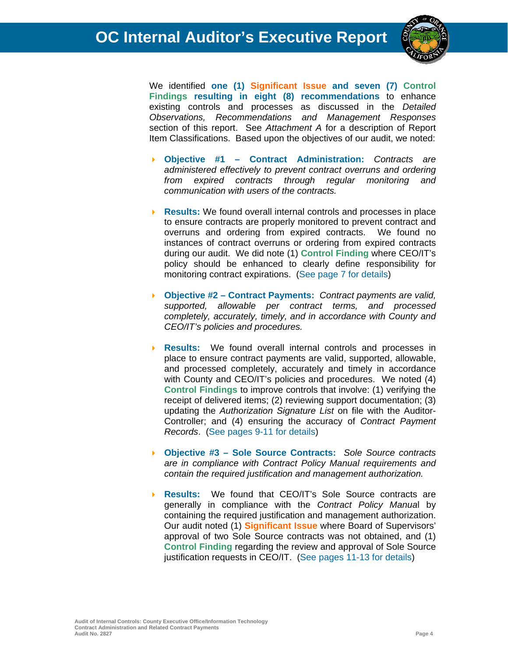

We identified **one (1) Significant Issue and seven (7) Control Findings resulting in eight (8) recommendations** to enhance existing controls and processes as discussed in the *Detailed Observations, Recommendations and Management Responses* section of this report. See *Attachment A* for a description of Report Item Classifications. Based upon the objectives of our audit, we noted:

- **Objective #1 Contract Administration:** *Contracts are administered effectively to prevent contract overruns and ordering from expired contracts through regular monitoring and communication with users of the contracts.*
- **Results:** We found overall internal controls and processes in place to ensure contracts are properly monitored to prevent contract and overruns and ordering from expired contracts. We found no instances of contract overruns or ordering from expired contracts during our audit. We did note (1) **Control Finding** where CEO/IT's policy should be enhanced to clearly define responsibility for monitoring contract expirations. (See page 7 for details)
- **Objective #2 Contract Payments:** *Contract payments are valid, supported, allowable per contract terms, and processed completely, accurately, timely, and in accordance with County and CEO/IT's policies and procedures.*
- **Results:** We found overall internal controls and processes in place to ensure contract payments are valid, supported, allowable, and processed completely, accurately and timely in accordance with County and CEO/IT's policies and procedures. We noted (4) **Control Findings** to improve controls that involve: (1) verifying the receipt of delivered items; (2) reviewing support documentation; (3) updating the *Authorization Signature List* on file with the Auditor-Controller; and (4) ensuring the accuracy of *Contract Payment Records*. (See pages 9-11 for details)
- **Objective #3 Sole Source Contracts:** *Sole Source contracts are in compliance with Contract Policy Manual requirements and contain the required justification and management authorization.*
- **Results:** We found that CEO/IT's Sole Source contracts are generally in compliance with the *Contract Policy Manua*l by containing the required justification and management authorization. Our audit noted (1) **Significant Issue** where Board of Supervisors' approval of two Sole Source contracts was not obtained, and (1) **Control Finding** regarding the review and approval of Sole Source justification requests in CEO/IT. (See pages 11-13 for details)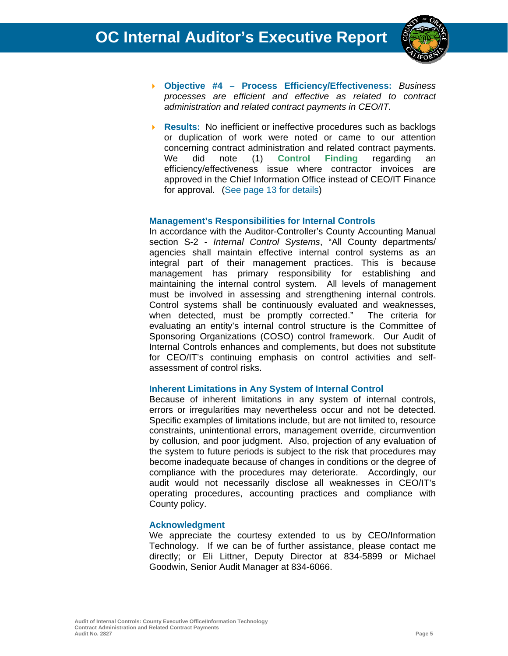

- **Objective #4 Process Efficiency/Effectiveness:** *Business processes are efficient and effective as related to contract administration and related contract payments in CEO/IT.*
- **Results:** No inefficient or ineffective procedures such as backlogs or duplication of work were noted or came to our attention concerning contract administration and related contract payments. We did note (1) **Control Finding** regarding an efficiency/effectiveness issue where contractor invoices are approved in the Chief Information Office instead of CEO/IT Finance for approval. (See page 13 for details)

#### **Management's Responsibilities for Internal Controls**

In accordance with the Auditor-Controller's County Accounting Manual section S-2 - *Internal Control Systems*, "All County departments/ agencies shall maintain effective internal control systems as an integral part of their management practices. This is because management has primary responsibility for establishing and maintaining the internal control system. All levels of management must be involved in assessing and strengthening internal controls. Control systems shall be continuously evaluated and weaknesses, when detected, must be promptly corrected." The criteria for evaluating an entity's internal control structure is the Committee of Sponsoring Organizations (COSO) control framework. Our Audit of Internal Controls enhances and complements, but does not substitute for CEO/IT's continuing emphasis on control activities and selfassessment of control risks.

#### **Inherent Limitations in Any System of Internal Control**

Because of inherent limitations in any system of internal controls, errors or irregularities may nevertheless occur and not be detected. Specific examples of limitations include, but are not limited to, resource constraints, unintentional errors, management override, circumvention by collusion, and poor judgment. Also, projection of any evaluation of the system to future periods is subject to the risk that procedures may become inadequate because of changes in conditions or the degree of compliance with the procedures may deteriorate. Accordingly, our audit would not necessarily disclose all weaknesses in CEO/IT's operating procedures, accounting practices and compliance with County policy.

#### **Acknowledgment**

We appreciate the courtesy extended to us by CEO/Information Technology. If we can be of further assistance, please contact me directly; or Eli Littner, Deputy Director at 834-5899 or Michael Goodwin, Senior Audit Manager at 834-6066.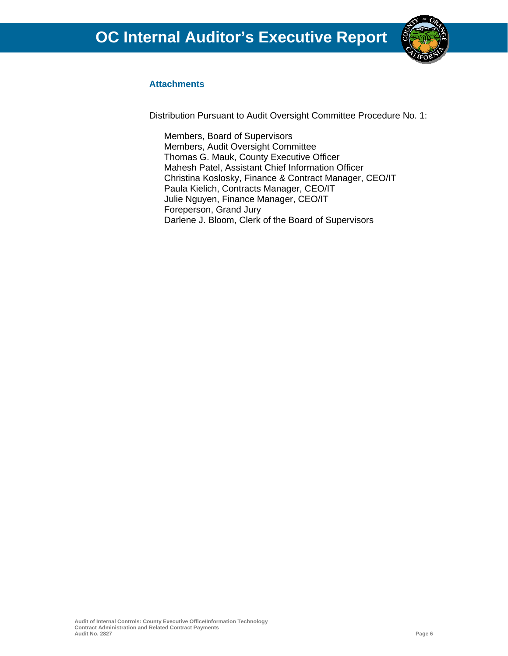

#### **Attachments**

Distribution Pursuant to Audit Oversight Committee Procedure No. 1:

Members, Board of Supervisors Members, Audit Oversight Committee Thomas G. Mauk, County Executive Officer Mahesh Patel, Assistant Chief Information Officer Christina Koslosky, Finance & Contract Manager, CEO/IT Paula Kielich, Contracts Manager, CEO/IT Julie Nguyen, Finance Manager, CEO/IT Foreperson, Grand Jury Darlene J. Bloom, Clerk of the Board of Supervisors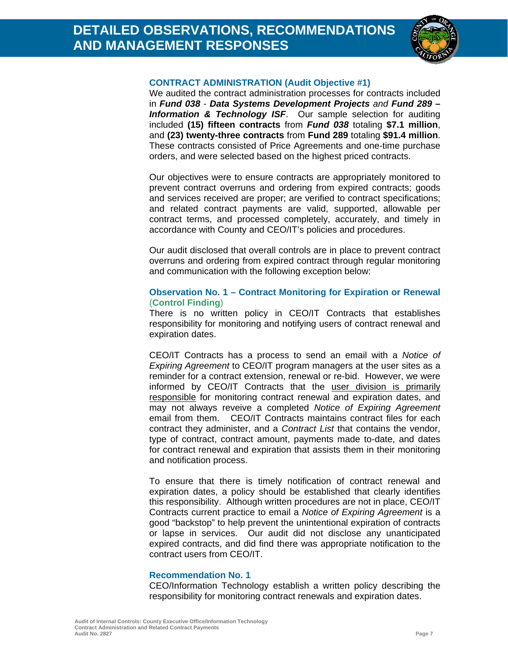

#### **CONTRACT ADMINISTRATION (Audit Objective #1)**

We audited the contract administration processes for contracts included in *Fund 038* - *Data Systems Development Projects and Fund 289 –*  **Information & Technology ISF.** Our sample selection for auditing included **(15) fifteen contracts** from *Fund 038* totaling **\$7.1 million**, and **(23) twenty-three contracts** from **Fund 289** totaling **\$91.4 million**. These contracts consisted of Price Agreements and one-time purchase orders, and were selected based on the highest priced contracts.

Our objectives were to ensure contracts are appropriately monitored to prevent contract overruns and ordering from expired contracts; goods and services received are proper; are verified to contract specifications; and related contract payments are valid, supported, allowable per contract terms, and processed completely, accurately, and timely in accordance with County and CEO/IT's policies and procedures.

Our audit disclosed that overall controls are in place to prevent contract overruns and ordering from expired contract through regular monitoring and communication with the following exception below:

#### **Observation No. 1 – Contract Monitoring for Expiration or Renewal**  (**Control Finding**)

There is no written policy in CEO/IT Contracts that establishes responsibility for monitoring and notifying users of contract renewal and expiration dates.

CEO/IT Contracts has a process to send an email with a *Notice of Expiring Agreement* to CEO/IT program managers at the user sites as a reminder for a contract extension, renewal or re-bid. However, we were informed by CEO/IT Contracts that the user division is primarily responsible for monitoring contract renewal and expiration dates, and may not always reveive a completed *Notice of Expiring Agreement* email from them. CEO/IT Contracts maintains contract files for each contract they administer, and a *Contract List* that contains the vendor, type of contract, contract amount, payments made to-date, and dates for contract renewal and expiration that assists them in their monitoring and notification process.

To ensure that there is timely notification of contract renewal and expiration dates, a policy should be established that clearly identifies this responsibility. Although written procedures are not in place, CEO/IT Contracts current practice to email a *Notice of Expiring Agreement* is a good "backstop" to help prevent the unintentional expiration of contracts or lapse in services. Our audit did not disclose any unanticipated expired contracts, and did find there was appropriate notification to the contract users from CEO/IT.

#### **Recommendation No. 1**

CEO/Information Technology establish a written policy describing the responsibility for monitoring contract renewals and expiration dates.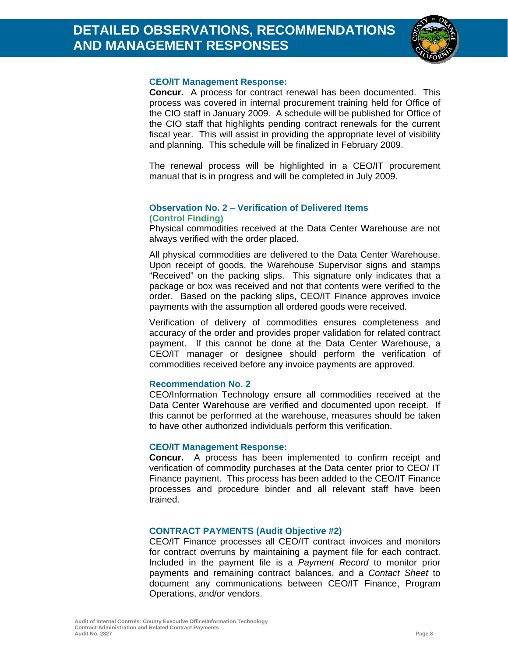

#### **CEO/IT Management Response:**

**Concur.** A process for contract renewal has been documented. This process was covered in internal procurement training held for Office of the CIO staff in January 2009. A schedule will be published for Office of the CIO staff that highlights pending contract renewals for the current fiscal year. This will assist in providing the appropriate level of visibility and planning. This schedule will be finalized in February 2009.

The renewal process will be highlighted in a CEO/IT procurement manual that is in progress and will be completed in July 2009.

#### **Observation No. 2 – Verification of Delivered Items (Control Finding)**

Physical commodities received at the Data Center Warehouse are not always verified with the order placed.

All physical commodities are delivered to the Data Center Warehouse. Upon receipt of goods, the Warehouse Supervisor signs and stamps "Received" on the packing slips. This signature only indicates that a package or box was received and not that contents were verified to the order. Based on the packing slips, CEO/IT Finance approves invoice payments with the assumption all ordered goods were received.

Verification of delivery of commodities ensures completeness and accuracy of the order and provides proper validation for related contract payment. If this cannot be done at the Data Center Warehouse, a CEO/IT manager or designee should perform the verification of commodities received before any invoice payments are approved.

#### **Recommendation No. 2**

CEO/Information Technology ensure all commodities received at the Data Center Warehouse are verified and documented upon receipt. If this cannot be performed at the warehouse, measures should be taken to have other authorized individuals perform this verification.

#### **CEO/IT Management Response:**

**Concur.** A process has been implemented to confirm receipt and verification of commodity purchases at the Data center prior to CEO/ IT Finance payment. This process has been added to the CEO/IT Finance processes and procedure binder and all relevant staff have been trained.

#### **CONTRACT PAYMENTS (Audit Objective #2)**

CEO/IT Finance processes all CEO/IT contract invoices and monitors for contract overruns by maintaining a payment file for each contract. Included in the payment file is a *Payment Record* to monitor prior payments and remaining contract balances, and a *Contact Sheet* to document any communications between CEO/IT Finance, Program Operations, and/or vendors.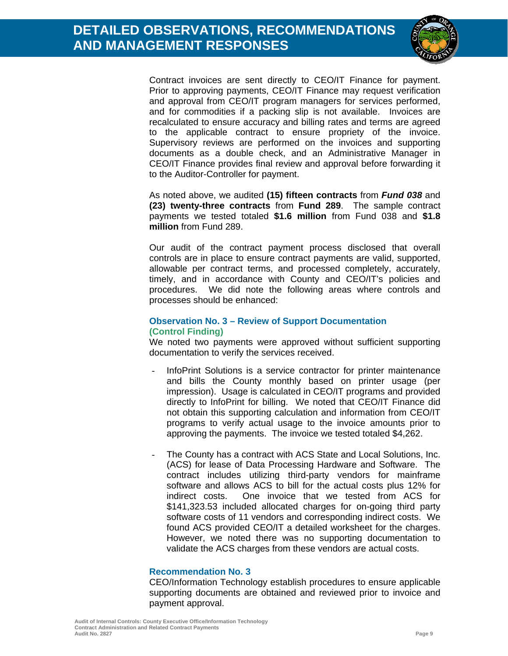

Contract invoices are sent directly to CEO/IT Finance for payment. Prior to approving payments, CEO/IT Finance may request verification and approval from CEO/IT program managers for services performed, and for commodities if a packing slip is not available. Invoices are recalculated to ensure accuracy and billing rates and terms are agreed to the applicable contract to ensure propriety of the invoice. Supervisory reviews are performed on the invoices and supporting documents as a double check, and an Administrative Manager in CEO/IT Finance provides final review and approval before forwarding it to the Auditor-Controller for payment.

As noted above, we audited **(15) fifteen contracts** from *Fund 038* and **(23) twenty-three contracts** from **Fund 289**. The sample contract payments we tested totaled **\$1.6 million** from Fund 038 and **\$1.8 million** from Fund 289.

Our audit of the contract payment process disclosed that overall controls are in place to ensure contract payments are valid, supported, allowable per contract terms, and processed completely, accurately, timely, and in accordance with County and CEO/IT's policies and procedures. We did note the following areas where controls and processes should be enhanced:

#### **Observation No. 3 – Review of Support Documentation (Control Finding)**

We noted two payments were approved without sufficient supporting documentation to verify the services received.

- InfoPrint Solutions is a service contractor for printer maintenance and bills the County monthly based on printer usage (per impression). Usage is calculated in CEO/IT programs and provided directly to InfoPrint for billing. We noted that CEO/IT Finance did not obtain this supporting calculation and information from CEO/IT programs to verify actual usage to the invoice amounts prior to approving the payments. The invoice we tested totaled \$4,262.
- The County has a contract with ACS State and Local Solutions, Inc. (ACS) for lease of Data Processing Hardware and Software. The contract includes utilizing third-party vendors for mainframe software and allows ACS to bill for the actual costs plus 12% for indirect costs. One invoice that we tested from ACS for \$141,323.53 included allocated charges for on-going third party software costs of 11 vendors and corresponding indirect costs. We found ACS provided CEO/IT a detailed worksheet for the charges. However, we noted there was no supporting documentation to validate the ACS charges from these vendors are actual costs.

#### **Recommendation No. 3**

CEO/Information Technology establish procedures to ensure applicable supporting documents are obtained and reviewed prior to invoice and payment approval.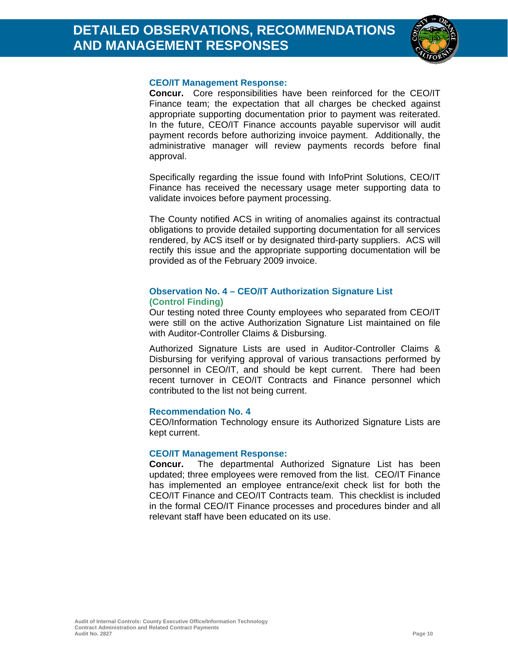

#### **CEO/IT Management Response:**

**Concur.** Core responsibilities have been reinforced for the CEO/IT Finance team; the expectation that all charges be checked against appropriate supporting documentation prior to payment was reiterated. In the future, CEO/IT Finance accounts payable supervisor will audit payment records before authorizing invoice payment. Additionally, the administrative manager will review payments records before final approval.

Specifically regarding the issue found with InfoPrint Solutions, CEO/IT Finance has received the necessary usage meter supporting data to validate invoices before payment processing.

The County notified ACS in writing of anomalies against its contractual obligations to provide detailed supporting documentation for all services rendered, by ACS itself or by designated third-party suppliers. ACS will rectify this issue and the appropriate supporting documentation will be provided as of the February 2009 invoice.

#### **Observation No. 4 – CEO/IT Authorization Signature List (Control Finding)**

Our testing noted three County employees who separated from CEO/IT were still on the active Authorization Signature List maintained on file with Auditor-Controller Claims & Disbursing.

Authorized Signature Lists are used in Auditor-Controller Claims & Disbursing for verifying approval of various transactions performed by personnel in CEO/IT, and should be kept current. There had been recent turnover in CEO/IT Contracts and Finance personnel which contributed to the list not being current.

#### **Recommendation No. 4**

CEO/Information Technology ensure its Authorized Signature Lists are kept current.

#### **CEO/IT Management Response:**

**Concur.** The departmental Authorized Signature List has been updated; three employees were removed from the list. CEO/IT Finance has implemented an employee entrance/exit check list for both the CEO/IT Finance and CEO/IT Contracts team. This checklist is included in the formal CEO/IT Finance processes and procedures binder and all relevant staff have been educated on its use.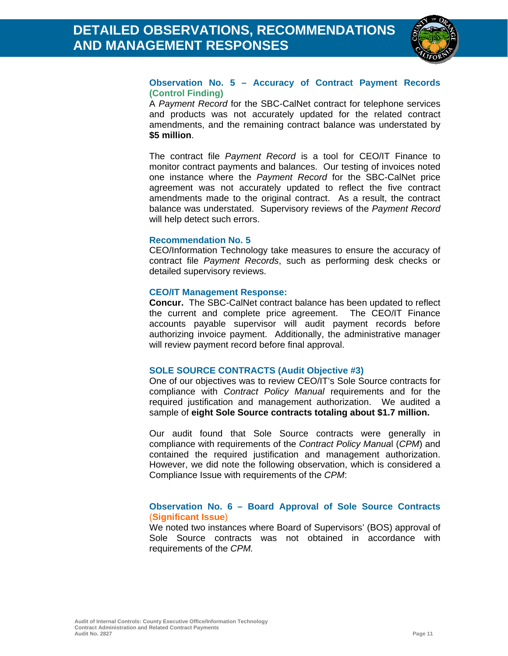

#### **Observation No. 5 – Accuracy of Contract Payment Records (Control Finding)**

A *Payment Record* for the SBC-CalNet contract for telephone services and products was not accurately updated for the related contract amendments, and the remaining contract balance was understated by **\$5 million**.

The contract file *Payment Record* is a tool for CEO/IT Finance to monitor contract payments and balances. Our testing of invoices noted one instance where the *Payment Record* for the SBC-CalNet price agreement was not accurately updated to reflect the five contract amendments made to the original contract. As a result, the contract balance was understated. Supervisory reviews of the *Payment Record* will help detect such errors.

#### **Recommendation No. 5**

CEO/Information Technology take measures to ensure the accuracy of contract file *Payment Records*, such as performing desk checks or detailed supervisory reviews.

#### **CEO/IT Management Response:**

**Concur.** The SBC-CalNet contract balance has been updated to reflect the current and complete price agreement. The CEO/IT Finance accounts payable supervisor will audit payment records before authorizing invoice payment. Additionally, the administrative manager will review payment record before final approval.

#### **SOLE SOURCE CONTRACTS (Audit Objective #3)**

One of our objectives was to review CEO/IT's Sole Source contracts for compliance with *Contract Policy Manual* requirements and for the required justification and management authorization. We audited a sample of **eight Sole Source contracts totaling about \$1.7 million.** 

Our audit found that Sole Source contracts were generally in compliance with requirements of the *Contract Policy Manua*l (*CPM*) and contained the required justification and management authorization. However, we did note the following observation, which is considered a Compliance Issue with requirements of the *CPM*:

#### **Observation No. 6 – Board Approval of Sole Source Contracts**  (**Significant Issue**)

We noted two instances where Board of Supervisors' (BOS) approval of Sole Source contracts was not obtained in accordance with requirements of the *CPM.*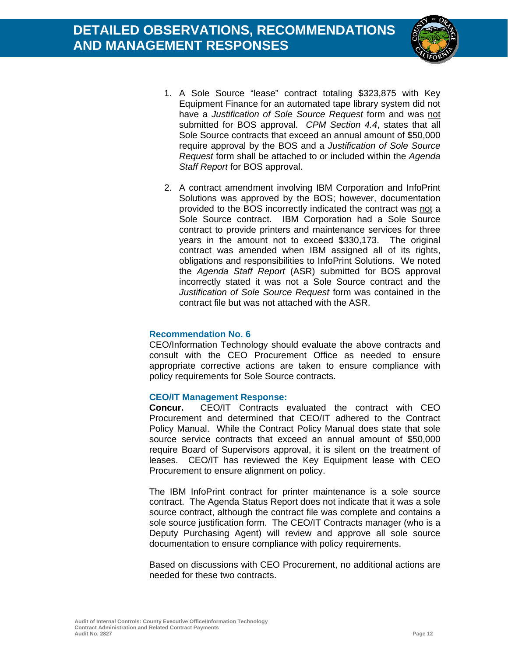

- 1. A Sole Source "lease" contract totaling \$323,875 with Key Equipment Finance for an automated tape library system did not have a *Justification of Sole Source Request* form and was not submitted for BOS approval. *CPM Section 4.4*, states that all Sole Source contracts that exceed an annual amount of \$50,000 require approval by the BOS and a *Justification of Sole Source Request* form shall be attached to or included within the *Agenda Staff Report* for BOS approval.
- 2. A contract amendment involving IBM Corporation and InfoPrint Solutions was approved by the BOS; however, documentation provided to the BOS incorrectly indicated the contract was not a Sole Source contract. IBM Corporation had a Sole Source contract to provide printers and maintenance services for three years in the amount not to exceed \$330,173. The original contract was amended when IBM assigned all of its rights, obligations and responsibilities to InfoPrint Solutions. We noted the *Agenda Staff Report* (ASR) submitted for BOS approval incorrectly stated it was not a Sole Source contract and the *Justification of Sole Source Request* form was contained in the contract file but was not attached with the ASR.

#### **Recommendation No. 6**

CEO/Information Technology should evaluate the above contracts and consult with the CEO Procurement Office as needed to ensure appropriate corrective actions are taken to ensure compliance with policy requirements for Sole Source contracts.

#### **CEO/IT Management Response:**

**Concur.** CEO/IT Contracts evaluated the contract with CEO Procurement and determined that CEO/IT adhered to the Contract Policy Manual. While the Contract Policy Manual does state that sole source service contracts that exceed an annual amount of \$50,000 require Board of Supervisors approval, it is silent on the treatment of leases. CEO/IT has reviewed the Key Equipment lease with CEO Procurement to ensure alignment on policy.

The IBM InfoPrint contract for printer maintenance is a sole source contract. The Agenda Status Report does not indicate that it was a sole source contract, although the contract file was complete and contains a sole source justification form. The CEO/IT Contracts manager (who is a Deputy Purchasing Agent) will review and approve all sole source documentation to ensure compliance with policy requirements.

Based on discussions with CEO Procurement, no additional actions are needed for these two contracts.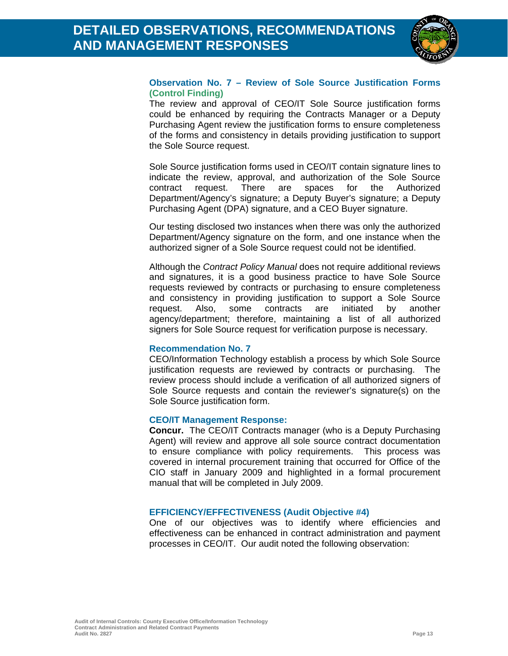

#### **Observation No. 7 – Review of Sole Source Justification Forms (Control Finding)**

The review and approval of CEO/IT Sole Source justification forms could be enhanced by requiring the Contracts Manager or a Deputy Purchasing Agent review the justification forms to ensure completeness of the forms and consistency in details providing justification to support the Sole Source request.

Sole Source justification forms used in CEO/IT contain signature lines to indicate the review, approval, and authorization of the Sole Source contract request. There are spaces for the Authorized Department/Agency's signature; a Deputy Buyer's signature; a Deputy Purchasing Agent (DPA) signature, and a CEO Buyer signature.

Our testing disclosed two instances when there was only the authorized Department/Agency signature on the form, and one instance when the authorized signer of a Sole Source request could not be identified.

Although the *Contract Policy Manual* does not require additional reviews and signatures, it is a good business practice to have Sole Source requests reviewed by contracts or purchasing to ensure completeness and consistency in providing justification to support a Sole Source request. Also, some contracts are initiated by another agency/department; therefore, maintaining a list of all authorized signers for Sole Source request for verification purpose is necessary.

#### **Recommendation No. 7**

CEO/Information Technology establish a process by which Sole Source justification requests are reviewed by contracts or purchasing. The review process should include a verification of all authorized signers of Sole Source requests and contain the reviewer's signature(s) on the Sole Source justification form.

#### **CEO/IT Management Response:**

**Concur.** The CEO/IT Contracts manager (who is a Deputy Purchasing Agent) will review and approve all sole source contract documentation to ensure compliance with policy requirements. This process was covered in internal procurement training that occurred for Office of the CIO staff in January 2009 and highlighted in a formal procurement manual that will be completed in July 2009.

#### **EFFICIENCY/EFFECTIVENESS (Audit Objective #4)**

One of our objectives was to identify where efficiencies and effectiveness can be enhanced in contract administration and payment processes in CEO/IT. Our audit noted the following observation: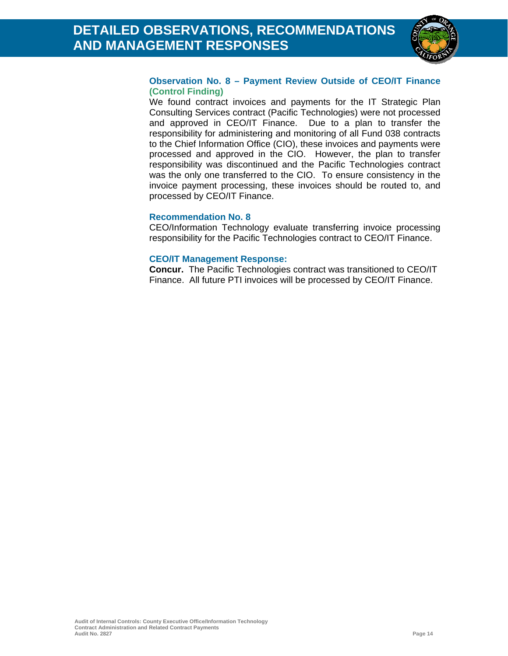

#### **Observation No. 8 – Payment Review Outside of CEO/IT Finance (Control Finding)**

We found contract invoices and payments for the IT Strategic Plan Consulting Services contract (Pacific Technologies) were not processed and approved in CEO/IT Finance. Due to a plan to transfer the responsibility for administering and monitoring of all Fund 038 contracts to the Chief Information Office (CIO), these invoices and payments were processed and approved in the CIO. However, the plan to transfer responsibility was discontinued and the Pacific Technologies contract was the only one transferred to the CIO. To ensure consistency in the invoice payment processing, these invoices should be routed to, and processed by CEO/IT Finance.

#### **Recommendation No. 8**

CEO/Information Technology evaluate transferring invoice processing responsibility for the Pacific Technologies contract to CEO/IT Finance.

#### **CEO/IT Management Response:**

**Concur.** The Pacific Technologies contract was transitioned to CEO/IT Finance. All future PTI invoices will be processed by CEO/IT Finance.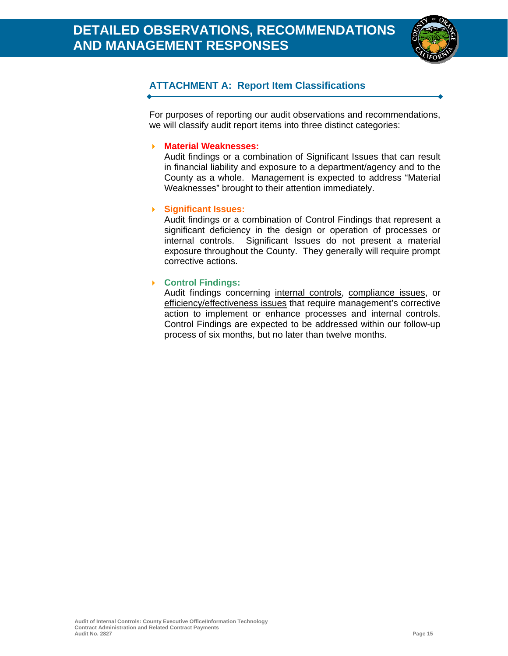

#### **ATTACHMENT A: Report Item Classifications**

For purposes of reporting our audit observations and recommendations, we will classify audit report items into three distinct categories:

#### **Material Weaknesses:**

Audit findings or a combination of Significant Issues that can result in financial liability and exposure to a department/agency and to the County as a whole. Management is expected to address "Material Weaknesses" brought to their attention immediately.

#### **Significant Issues:**

Audit findings or a combination of Control Findings that represent a significant deficiency in the design or operation of processes or internal controls. Significant Issues do not present a material exposure throughout the County. They generally will require prompt corrective actions.

#### **Control Findings:**

Audit findings concerning internal controls, compliance issues, or efficiency/effectiveness issues that require management's corrective action to implement or enhance processes and internal controls. Control Findings are expected to be addressed within our follow-up process of six months, but no later than twelve months.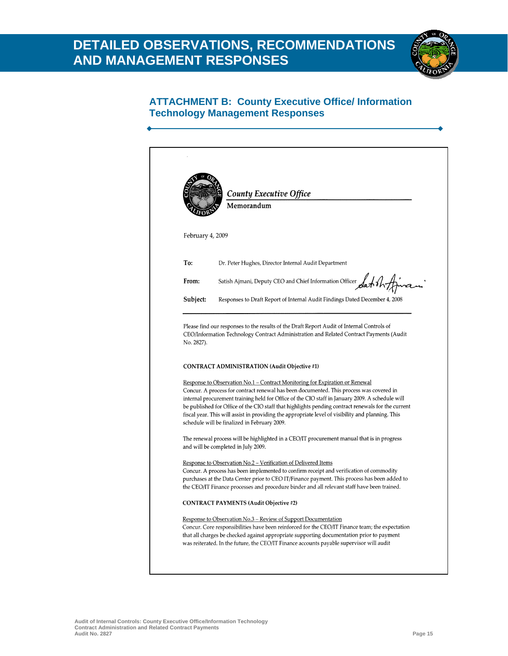## **DETAILED OBSERVATIONS, RECOMMENDATIONS AND MANAGEMENT RESPONSES**



#### **ATTACHMENT B: County Executive Office/ Information Technology Management Responses**

|                  | <b>County Executive Office</b><br>Memorandum                                                                                                                                                                                                                                                                                                                                                                                                                                                                                          |
|------------------|---------------------------------------------------------------------------------------------------------------------------------------------------------------------------------------------------------------------------------------------------------------------------------------------------------------------------------------------------------------------------------------------------------------------------------------------------------------------------------------------------------------------------------------|
| February 4, 2009 |                                                                                                                                                                                                                                                                                                                                                                                                                                                                                                                                       |
| To:              | Dr. Peter Hughes, Director Internal Audit Department                                                                                                                                                                                                                                                                                                                                                                                                                                                                                  |
| From:            | Satish Ajmani, Deputy CEO and Chief Information Officer Satish And                                                                                                                                                                                                                                                                                                                                                                                                                                                                    |
| Subject:         | Responses to Draft Report of Internal Audit Findings Dated December 4, 2008                                                                                                                                                                                                                                                                                                                                                                                                                                                           |
| No. 2827).       | <b>CONTRACT ADMINISTRATION (Audit Objective #1)</b>                                                                                                                                                                                                                                                                                                                                                                                                                                                                                   |
|                  | Response to Observation No.1 - Contract Monitoring for Expiration or Renewal<br>Concur. A process for contract renewal has been documented. This process was covered in<br>internal procurement training held for Office of the CIO staff in January 2009. A schedule will<br>be published for Office of the CIO staff that highlights pending contract renewals for the current<br>fiscal year. This will assist in providing the appropriate level of visibility and planning. This<br>schedule will be finalized in February 2009. |
|                  | The renewal process will be highlighted in a CEO/IT procurement manual that is in progress<br>and will be completed in July 2009.                                                                                                                                                                                                                                                                                                                                                                                                     |
|                  | <u>Response to Observation No.2 – Verification of Delivered Items</u><br>Concur. A process has been implemented to confirm receipt and verification of commodity<br>purchases at the Data Center prior to CEO IT/Finance payment. This process has been added to<br>the CEO/IT Finance processes and procedure binder and all relevant staff have been trained.                                                                                                                                                                       |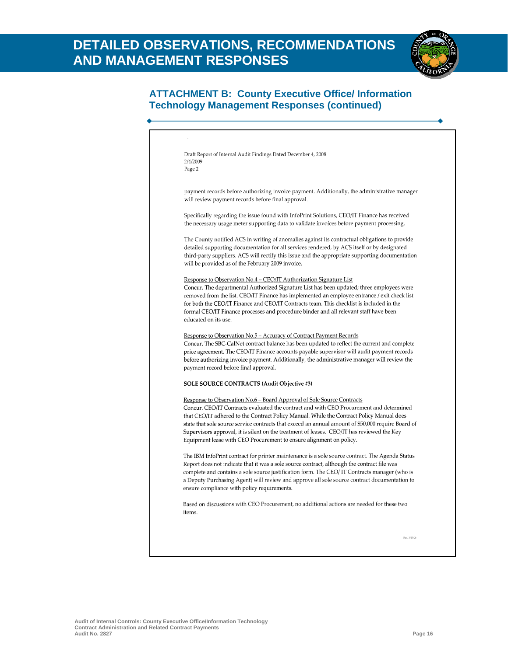

#### **ATTACHMENT B: County Executive Office/ Information Technology Management Responses (continued)**

| payment records before authorizing invoice payment. Additionally, the administrative manager<br>will review payment records before final approval.<br>Specifically regarding the issue found with InfoPrint Solutions, CEO/IT Finance has received<br>the necessary usage meter supporting data to validate invoices before payment processing.<br>The County notified ACS in writing of anomalies against its contractual obligations to provide<br>detailed supporting documentation for all services rendered, by ACS itself or by designated<br>third-party suppliers. ACS will rectify this issue and the appropriate supporting documentation<br>will be provided as of the February 2009 invoice.<br>Response to Observation No.4 - CEO/IT Authorization Signature List<br>Concur. The departmental Authorized Signature List has been updated; three employees were<br>removed from the list. CEO/IT Finance has implemented an employee entrance / exit check list<br>for both the CEO/IT Finance and CEO/IT Contracts team. This checklist is included in the<br>formal CEO/IT Finance processes and procedure binder and all relevant staff have been<br>educated on its use.<br><u> Response to Observation No.5 – Accuracy of Contract Payment Records</u><br>Concur. The SBC-CalNet contract balance has been updated to reflect the current and complete<br>price agreement. The CEO/IT Finance accounts payable supervisor will audit payment records<br>before authorizing invoice payment. Additionally, the administrative manager will review the<br>payment record before final approval.<br><b>SOLE SOURCE CONTRACTS (Audit Objective #3)</b><br>Response to Observation No.6 - Board Approval of Sole Source Contracts<br>Concur. CEO/IT Contracts evaluated the contract and with CEO Procurement and determined<br>that CEO/IT adhered to the Contract Policy Manual. While the Contract Policy Manual does<br>state that sole source service contracts that exceed an annual amount of \$50,000 require Board of<br>Supervisors approval, it is silent on the treatment of leases. CEO/IT has reviewed the Key<br>Equipment lease with CEO Procurement to ensure alignment on policy.<br>The IBM InfoPrint contract for printer maintenance is a sole source contract. The Agenda Status<br>Report does not indicate that it was a sole source contract, although the contract file was<br>complete and contains a sole source justification form. The CEO/IT Contracts manager (who is<br>a Deputy Purchasing Agent) will review and approve all sole source contract documentation to<br>ensure compliance with policy requirements.<br>Based on discussions with CEO Procurement, no additional actions are needed for these two<br>items. | 2/4/2009 | Draft Report of Internal Audit Findings Dated December 4, 2008 |
|-------------------------------------------------------------------------------------------------------------------------------------------------------------------------------------------------------------------------------------------------------------------------------------------------------------------------------------------------------------------------------------------------------------------------------------------------------------------------------------------------------------------------------------------------------------------------------------------------------------------------------------------------------------------------------------------------------------------------------------------------------------------------------------------------------------------------------------------------------------------------------------------------------------------------------------------------------------------------------------------------------------------------------------------------------------------------------------------------------------------------------------------------------------------------------------------------------------------------------------------------------------------------------------------------------------------------------------------------------------------------------------------------------------------------------------------------------------------------------------------------------------------------------------------------------------------------------------------------------------------------------------------------------------------------------------------------------------------------------------------------------------------------------------------------------------------------------------------------------------------------------------------------------------------------------------------------------------------------------------------------------------------------------------------------------------------------------------------------------------------------------------------------------------------------------------------------------------------------------------------------------------------------------------------------------------------------------------------------------------------------------------------------------------------------------------------------------------------------------------------------------------------------------------------------------------------------------------------------------------------------------------------------------------------------------------------------------------------------------------------------------------------------|----------|----------------------------------------------------------------|
|                                                                                                                                                                                                                                                                                                                                                                                                                                                                                                                                                                                                                                                                                                                                                                                                                                                                                                                                                                                                                                                                                                                                                                                                                                                                                                                                                                                                                                                                                                                                                                                                                                                                                                                                                                                                                                                                                                                                                                                                                                                                                                                                                                                                                                                                                                                                                                                                                                                                                                                                                                                                                                                                                                                                                                         | Page 2   |                                                                |
|                                                                                                                                                                                                                                                                                                                                                                                                                                                                                                                                                                                                                                                                                                                                                                                                                                                                                                                                                                                                                                                                                                                                                                                                                                                                                                                                                                                                                                                                                                                                                                                                                                                                                                                                                                                                                                                                                                                                                                                                                                                                                                                                                                                                                                                                                                                                                                                                                                                                                                                                                                                                                                                                                                                                                                         |          |                                                                |
|                                                                                                                                                                                                                                                                                                                                                                                                                                                                                                                                                                                                                                                                                                                                                                                                                                                                                                                                                                                                                                                                                                                                                                                                                                                                                                                                                                                                                                                                                                                                                                                                                                                                                                                                                                                                                                                                                                                                                                                                                                                                                                                                                                                                                                                                                                                                                                                                                                                                                                                                                                                                                                                                                                                                                                         |          |                                                                |
|                                                                                                                                                                                                                                                                                                                                                                                                                                                                                                                                                                                                                                                                                                                                                                                                                                                                                                                                                                                                                                                                                                                                                                                                                                                                                                                                                                                                                                                                                                                                                                                                                                                                                                                                                                                                                                                                                                                                                                                                                                                                                                                                                                                                                                                                                                                                                                                                                                                                                                                                                                                                                                                                                                                                                                         |          |                                                                |
|                                                                                                                                                                                                                                                                                                                                                                                                                                                                                                                                                                                                                                                                                                                                                                                                                                                                                                                                                                                                                                                                                                                                                                                                                                                                                                                                                                                                                                                                                                                                                                                                                                                                                                                                                                                                                                                                                                                                                                                                                                                                                                                                                                                                                                                                                                                                                                                                                                                                                                                                                                                                                                                                                                                                                                         |          |                                                                |
|                                                                                                                                                                                                                                                                                                                                                                                                                                                                                                                                                                                                                                                                                                                                                                                                                                                                                                                                                                                                                                                                                                                                                                                                                                                                                                                                                                                                                                                                                                                                                                                                                                                                                                                                                                                                                                                                                                                                                                                                                                                                                                                                                                                                                                                                                                                                                                                                                                                                                                                                                                                                                                                                                                                                                                         |          |                                                                |
|                                                                                                                                                                                                                                                                                                                                                                                                                                                                                                                                                                                                                                                                                                                                                                                                                                                                                                                                                                                                                                                                                                                                                                                                                                                                                                                                                                                                                                                                                                                                                                                                                                                                                                                                                                                                                                                                                                                                                                                                                                                                                                                                                                                                                                                                                                                                                                                                                                                                                                                                                                                                                                                                                                                                                                         |          |                                                                |
|                                                                                                                                                                                                                                                                                                                                                                                                                                                                                                                                                                                                                                                                                                                                                                                                                                                                                                                                                                                                                                                                                                                                                                                                                                                                                                                                                                                                                                                                                                                                                                                                                                                                                                                                                                                                                                                                                                                                                                                                                                                                                                                                                                                                                                                                                                                                                                                                                                                                                                                                                                                                                                                                                                                                                                         |          |                                                                |
|                                                                                                                                                                                                                                                                                                                                                                                                                                                                                                                                                                                                                                                                                                                                                                                                                                                                                                                                                                                                                                                                                                                                                                                                                                                                                                                                                                                                                                                                                                                                                                                                                                                                                                                                                                                                                                                                                                                                                                                                                                                                                                                                                                                                                                                                                                                                                                                                                                                                                                                                                                                                                                                                                                                                                                         |          |                                                                |
|                                                                                                                                                                                                                                                                                                                                                                                                                                                                                                                                                                                                                                                                                                                                                                                                                                                                                                                                                                                                                                                                                                                                                                                                                                                                                                                                                                                                                                                                                                                                                                                                                                                                                                                                                                                                                                                                                                                                                                                                                                                                                                                                                                                                                                                                                                                                                                                                                                                                                                                                                                                                                                                                                                                                                                         |          |                                                                |